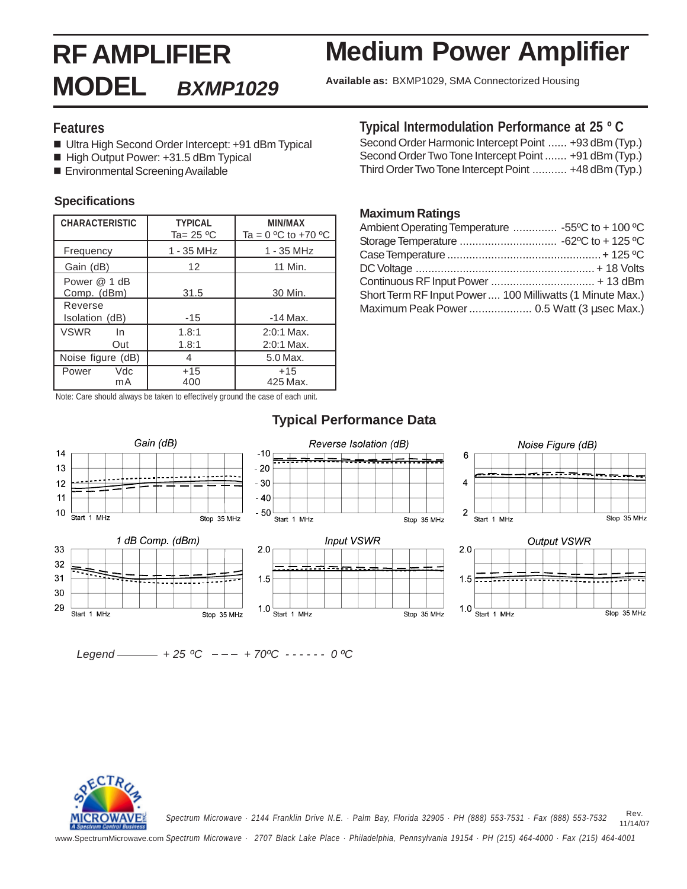## **RF AMPLIFIER MODEL BXMP1029 Available as:** BXMP1029, SMA Connectorized Housing **Medium Power Amplifier**

# **Features**

- Ultra High Second Order Intercept: +91 dBm Typical
- High Output Power: +31.5 dBm Typical
- **Environmental Screening Available**

# **Specifications**

| <b>CHARACTERISTIC</b>       | <b>TYPICAL</b><br>Ta= $25 °C$ | MIN/MAX<br>Ta = $0 °C$ to +70 $°C$ |  |  |
|-----------------------------|-------------------------------|------------------------------------|--|--|
| Frequency                   | 1 - 35 MHz                    | 1 - 35 MHz                         |  |  |
| Gain (dB)                   | 12                            | 11 Min.                            |  |  |
| Power @ 1 dB<br>Comp. (dBm) | 31.5                          | 30 Min.                            |  |  |
| Reverse<br>Isolation (dB)   | $-15$                         | $-14$ Max.                         |  |  |
| <b>VSWR</b><br>In.<br>Out   | 1.8:1<br>1.8:1                | $2:0:1$ Max.<br>$2:0:1$ Max.       |  |  |
| Noise figure (dB)           | 4                             | 5.0 Max.                           |  |  |
| Vdc<br>Power<br>mA          | $+15$<br>400                  | $+15$<br>425 Max.                  |  |  |

Note: Care should always be taken to effectively ground the case of each unit.

# **Typical Intermodulation Performance at 25 º C**

Second Order Harmonic Intercept Point ...... +93 dBm (Typ.) Second Order Two Tone Intercept Point ....... +91 dBm (Typ.) Third Order Two Tone Intercept Point ........... +48 dBm (Typ.)

### **Maximum Ratings**

| Ambient Operating Temperature  -55°C to + 100 °C          |
|-----------------------------------------------------------|
|                                                           |
|                                                           |
|                                                           |
|                                                           |
| Short Term RF Input Power  100 Milliwatts (1 Minute Max.) |
| Maximum Peak Power 0.5 Watt (3 usec Max.)                 |

# **Typical Performance Data**



Legend  $-$  + 25 °C - - - + 70°C - - - - - 0 °C



Rev. 11/14/07 *Spectrum Microwave · 2144 Franklin Drive N.E. · Palm Bay, Florida 32905 · PH (888) 553-7531 · Fax (888) 553-7532*

www.SpectrumMicrowave.com *Spectrum Microwave · 2707 Black Lake Place · Philadelphia, Pennsylvania 19154 · PH (215) 464-4000 · Fax (215) 464-4001*